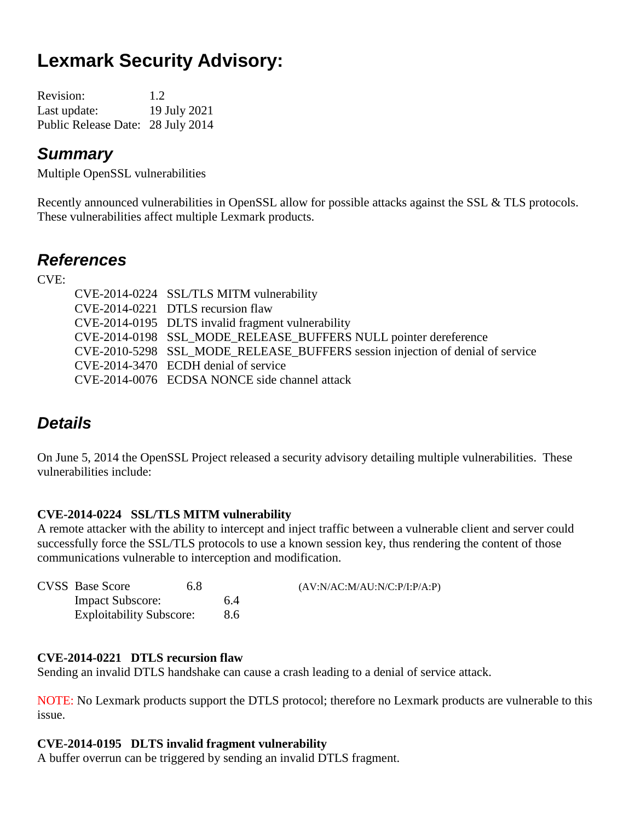# **Lexmark Security Advisory:**

| <b>Revision:</b>                  | 1.2          |
|-----------------------------------|--------------|
| Last update:                      | 19 July 2021 |
| Public Release Date: 28 July 2014 |              |

## *Summary*

Multiple OpenSSL vulnerabilities

Recently announced vulnerabilities in OpenSSL allow for possible attacks against the SSL & TLS protocols. These vulnerabilities affect multiple Lexmark products.

## *References*

CVE:

| CVE-2014-0224 SSL/TLS MITM vulnerability                                      |
|-------------------------------------------------------------------------------|
| CVE-2014-0221 DTLS recursion flaw                                             |
| CVE-2014-0195 DLTS invalid fragment vulnerability                             |
| CVE-2014-0198 SSL_MODE_RELEASE_BUFFERS NULL pointer dereference               |
| CVE-2010-5298 SSL MODE RELEASE BUFFERS session injection of denial of service |
| CVE-2014-3470 ECDH denial of service                                          |
| CVE-2014-0076 ECDSA NONCE side channel attack                                 |

## *Details*

On June 5, 2014 the OpenSSL Project released a security advisory detailing multiple vulnerabilities. These vulnerabilities include:

### **CVE-2014-0224 SSL/TLS MITM vulnerability**

A remote attacker with the ability to intercept and inject traffic between a vulnerable client and server could successfully force the SSL/TLS protocols to use a known session key, thus rendering the content of those communications vulnerable to interception and modification.

| <b>CVSS</b> Base Score          | 6.8 |     | (AV:N/AC:M/AU:N/C:P/I:P/A:P) |
|---------------------------------|-----|-----|------------------------------|
| <b>Impact Subscore:</b>         |     | 6.4 |                              |
| <b>Exploitability Subscore:</b> |     | 8.6 |                              |

### **CVE-2014-0221 DTLS recursion flaw**

Sending an invalid DTLS handshake can cause a crash leading to a denial of service attack.

NOTE: No Lexmark products support the DTLS protocol; therefore no Lexmark products are vulnerable to this issue.

#### **CVE-2014-0195 DLTS invalid fragment vulnerability**

A buffer overrun can be triggered by sending an invalid DTLS fragment.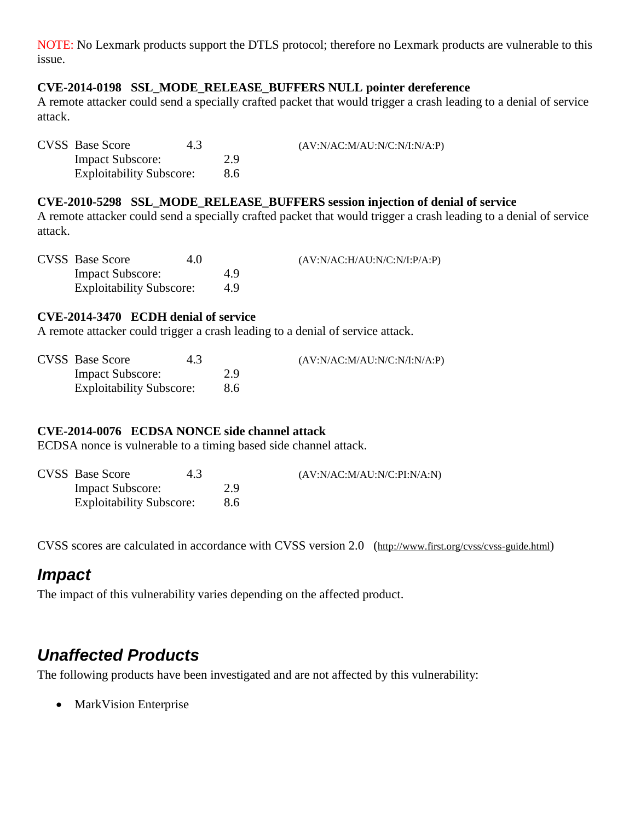NOTE: No Lexmark products support the DTLS protocol; therefore no Lexmark products are vulnerable to this issue.

#### **CVE-2014-0198 SSL\_MODE\_RELEASE\_BUFFERS NULL pointer dereference**

A remote attacker could send a specially crafted packet that would trigger a crash leading to a denial of service attack.

| <b>CVSS</b> Base Score          | 4.3 |     | (AV:N/AC:M/AU:N/C:N/I:N/A:P) |
|---------------------------------|-----|-----|------------------------------|
| <b>Impact Subscore:</b>         |     | 2.9 |                              |
| <b>Exploitability Subscore:</b> |     | 8.6 |                              |

#### **CVE-2010-5298 SSL\_MODE\_RELEASE\_BUFFERS session injection of denial of service**

A remote attacker could send a specially crafted packet that would trigger a crash leading to a denial of service attack.

| <b>CVSS</b> Base Score          | 4.0 |     | (AV:N/AC:H/AU:N/C:N/I:P/A:P) |
|---------------------------------|-----|-----|------------------------------|
| <b>Impact Subscore:</b>         |     | 4.9 |                              |
| <b>Exploitability Subscore:</b> |     | 49  |                              |

#### **CVE-2014-3470 ECDH denial of service**

A remote attacker could trigger a crash leading to a denial of service attack.

| <b>CVSS</b> Base Score          | 4.3 |     | (AV:N/AC:M/AU:N/C:N/I:N/A:P) |
|---------------------------------|-----|-----|------------------------------|
| <b>Impact Subscore:</b>         |     | 2.9 |                              |
| <b>Exploitability Subscore:</b> |     | 8.6 |                              |

#### **CVE-2014-0076 ECDSA NONCE side channel attack**

ECDSA nonce is vulnerable to a timing based side channel attack.

| <b>CVSS</b> Base Score          | 4.3 |     | (AV:N/AC:M/AU:N/C:PI:N/A:N) |
|---------------------------------|-----|-----|-----------------------------|
| <b>Impact Subscore:</b>         |     | 2.9 |                             |
| <b>Exploitability Subscore:</b> |     | 8.6 |                             |

CVSS scores are calculated in accordance with CVSS version 2.0 (http://www.first.org/cvss/cvss-guide.html)

### *Impact*

The impact of this vulnerability varies depending on the affected product.

## *Unaffected Products*

The following products have been investigated and are not affected by this vulnerability:

• MarkVision Enterprise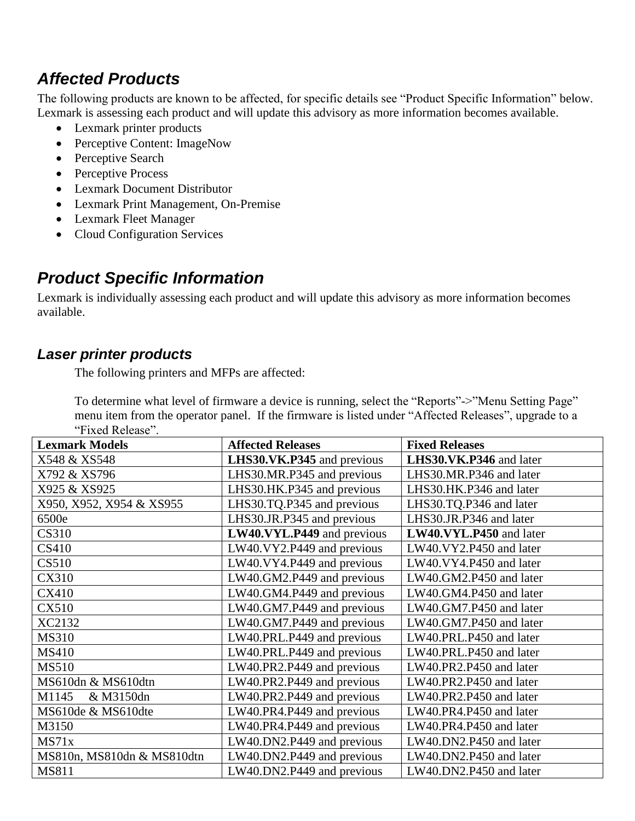## *Affected Products*

The following products are known to be affected, for specific details see "Product Specific Information" below. Lexmark is assessing each product and will update this advisory as more information becomes available.

- Lexmark printer products
- Perceptive Content: ImageNow
- Perceptive Search
- Perceptive Process
- Lexmark Document Distributor
- Lexmark Print Management, On-Premise
- Lexmark Fleet Manager
- Cloud Configuration Services

## *Product Specific Information*

Lexmark is individually assessing each product and will update this advisory as more information becomes available.

### *Laser printer products*

The following printers and MFPs are affected:

To determine what level of firmware a device is running, select the "Reports"->"Menu Setting Page" menu item from the operator panel. If the firmware is listed under "Affected Releases", upgrade to a "Fixed Release".

| <b>Lexmark Models</b>      | <b>Affected Releases</b>   | <b>Fixed Releases</b>   |
|----------------------------|----------------------------|-------------------------|
| X548 & XS548               | LHS30.VK.P345 and previous | LHS30.VK.P346 and later |
| X792 & XS796               | LHS30.MR.P345 and previous | LHS30.MR.P346 and later |
| X925 & XS925               | LHS30.HK.P345 and previous | LHS30.HK.P346 and later |
| X950, X952, X954 & XS955   | LHS30.TQ.P345 and previous | LHS30.TQ.P346 and later |
| 6500e                      | LHS30.JR.P345 and previous | LHS30.JR.P346 and later |
| <b>CS310</b>               | LW40.VYL.P449 and previous | LW40.VYL.P450 and later |
| <b>CS410</b>               | LW40.VY2.P449 and previous | LW40.VY2.P450 and later |
| CS510                      | LW40.VY4.P449 and previous | LW40.VY4.P450 and later |
| <b>CX310</b>               | LW40.GM2.P449 and previous | LW40.GM2.P450 and later |
| <b>CX410</b>               | LW40.GM4.P449 and previous | LW40.GM4.P450 and later |
| <b>CX510</b>               | LW40.GM7.P449 and previous | LW40.GM7.P450 and later |
| XC2132                     | LW40.GM7.P449 and previous | LW40.GM7.P450 and later |
| <b>MS310</b>               | LW40.PRL.P449 and previous | LW40.PRL.P450 and later |
| <b>MS410</b>               | LW40.PRL.P449 and previous | LW40.PRL.P450 and later |
| <b>MS510</b>               | LW40.PR2.P449 and previous | LW40.PR2.P450 and later |
| MS610dn & MS610dtn         | LW40.PR2.P449 and previous | LW40.PR2.P450 and later |
| M1145<br>& M3150dn         | LW40.PR2.P449 and previous | LW40.PR2.P450 and later |
| MS610de & MS610dte         | LW40.PR4.P449 and previous | LW40.PR4.P450 and later |
| M3150                      | LW40.PR4.P449 and previous | LW40.PR4.P450 and later |
| MS71x                      | LW40.DN2.P449 and previous | LW40.DN2.P450 and later |
| MS810n, MS810dn & MS810dtn | LW40.DN2.P449 and previous | LW40.DN2.P450 and later |
| <b>MS811</b>               | LW40.DN2.P449 and previous | LW40.DN2.P450 and later |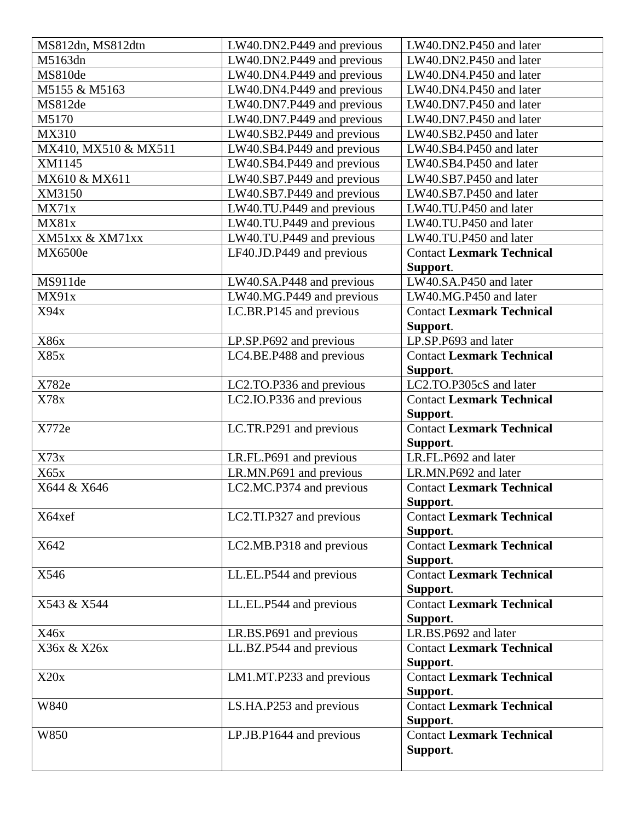| MS812dn, MS812dtn    | LW40.DN2.P449 and previous | LW40.DN2.P450 and later                      |
|----------------------|----------------------------|----------------------------------------------|
| M5163dn              | LW40.DN2.P449 and previous | LW40.DN2.P450 and later                      |
| MS810de              | LW40.DN4.P449 and previous | LW40.DN4.P450 and later                      |
| M5155 & M5163        | LW40.DN4.P449 and previous | LW40.DN4.P450 and later                      |
| MS812de              | LW40.DN7.P449 and previous | LW40.DN7.P450 and later                      |
| M5170                | LW40.DN7.P449 and previous | LW40.DN7.P450 and later                      |
| <b>MX310</b>         | LW40.SB2.P449 and previous | LW40.SB2.P450 and later                      |
| MX410, MX510 & MX511 | LW40.SB4.P449 and previous | LW40.SB4.P450 and later                      |
| XM1145               | LW40.SB4.P449 and previous | LW40.SB4.P450 and later                      |
| MX610 & MX611        | LW40.SB7.P449 and previous | LW40.SB7.P450 and later                      |
| XM3150               | LW40.SB7.P449 and previous | LW40.SB7.P450 and later                      |
| MX71x                | LW40.TU.P449 and previous  | LW40.TU.P450 and later                       |
| MX81x                | LW40.TU.P449 and previous  | LW40.TU.P450 and later                       |
| XM51xx & XM71xx      | LW40.TU.P449 and previous  | LW40.TU.P450 and later                       |
| MX6500e              | LF40.JD.P449 and previous  | <b>Contact Lexmark Technical</b>             |
|                      |                            | Support.                                     |
| MS911de              | LW40.SA.P448 and previous  | LW40.SA.P450 and later                       |
| MX91x                | LW40.MG.P449 and previous  | LW40.MG.P450 and later                       |
| X94x                 | LC.BR.P145 and previous    | <b>Contact Lexmark Technical</b>             |
|                      |                            | Support.                                     |
| <b>X86x</b>          | LP.SP.P692 and previous    | LP.SP.P693 and later                         |
| X85x                 | LC4.BE.P488 and previous   | <b>Contact Lexmark Technical</b>             |
|                      |                            | Support.                                     |
| X782e                | LC2.TO.P336 and previous   | LC2.TO.P305cS and later                      |
| X78x                 | LC2.IO.P336 and previous   | <b>Contact Lexmark Technical</b>             |
|                      |                            | Support.                                     |
| X772e                | LC.TR.P291 and previous    | <b>Contact Lexmark Technical</b>             |
|                      |                            | Support.                                     |
| X73x                 | LR.FL.P691 and previous    | LR.FL.P692 and later                         |
| X65x                 | LR.MN.P691 and previous    | LR.MN.P692 and later                         |
| X644 & X646          | LC2.MC.P374 and previous   | <b>Contact Lexmark Technical</b>             |
|                      |                            | Support.                                     |
| X64xef               | LC2.TI.P327 and previous   | <b>Contact Lexmark Technical</b>             |
|                      |                            | Support.                                     |
| X642                 | LC2.MB.P318 and previous   | <b>Contact Lexmark Technical</b>             |
|                      |                            | Support.                                     |
| X546                 | LL.EL.P544 and previous    | <b>Contact Lexmark Technical</b>             |
|                      |                            | Support.                                     |
| X543 & X544          | LL.EL.P544 and previous    | <b>Contact Lexmark Technical</b>             |
|                      |                            | Support.                                     |
| X46x                 | LR.BS.P691 and previous    | LR.BS.P692 and later                         |
| X36x & X26x          | LL.BZ.P544 and previous    | <b>Contact Lexmark Technical</b>             |
|                      |                            | Support.<br><b>Contact Lexmark Technical</b> |
| X20x                 | LM1.MT.P233 and previous   |                                              |
| W840                 |                            | Support.<br><b>Contact Lexmark Technical</b> |
|                      | LS.HA.P253 and previous    | Support.                                     |
| W850                 | LP.JB.P1644 and previous   | <b>Contact Lexmark Technical</b>             |
|                      |                            | Support.                                     |
|                      |                            |                                              |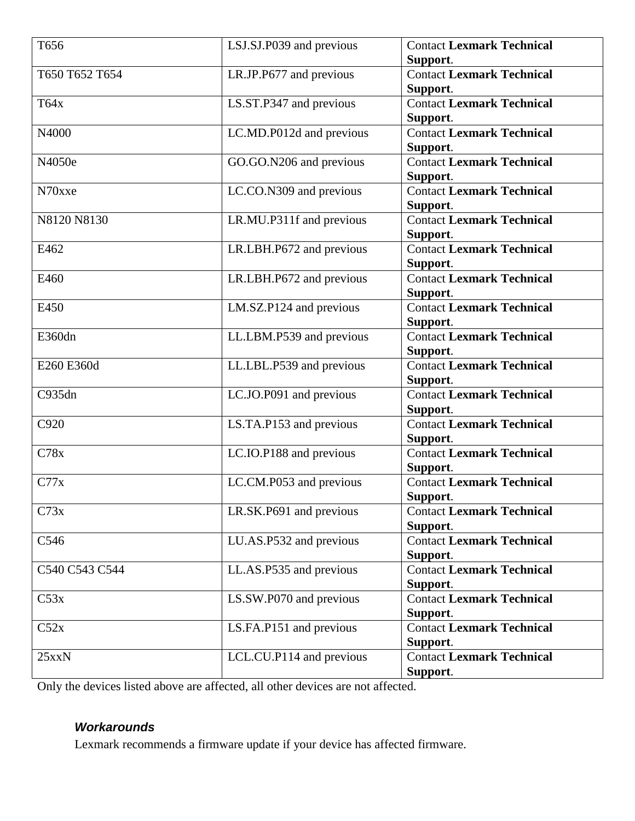| T656           | LSJ.SJ.P039 and previous | <b>Contact Lexmark Technical</b>             |
|----------------|--------------------------|----------------------------------------------|
|                |                          | Support.                                     |
| T650 T652 T654 | LR.JP.P677 and previous  | <b>Contact Lexmark Technical</b>             |
|                |                          | Support.                                     |
| T64x           | LS.ST.P347 and previous  | <b>Contact Lexmark Technical</b><br>Support. |
| N4000          | LC.MD.P012d and previous | <b>Contact Lexmark Technical</b>             |
|                |                          | Support.                                     |
| N4050e         | GO.GO.N206 and previous  | <b>Contact Lexmark Technical</b>             |
|                |                          | Support.                                     |
| N70xxe         | LC.CO.N309 and previous  | <b>Contact Lexmark Technical</b>             |
|                |                          | Support.                                     |
| N8120 N8130    | LR.MU.P311f and previous | <b>Contact Lexmark Technical</b>             |
|                |                          | Support.                                     |
| E462           | LR.LBH.P672 and previous | <b>Contact Lexmark Technical</b>             |
|                |                          | Support.                                     |
| E460           | LR.LBH.P672 and previous | <b>Contact Lexmark Technical</b>             |
|                |                          | Support.                                     |
| E450           | LM.SZ.P124 and previous  | <b>Contact Lexmark Technical</b>             |
|                |                          | Support.                                     |
| E360dn         | LL.LBM.P539 and previous | <b>Contact Lexmark Technical</b>             |
|                |                          | Support.                                     |
| E260 E360d     | LL.LBL.P539 and previous | <b>Contact Lexmark Technical</b>             |
|                |                          | Support.                                     |
| C935dn         | LC.JO.P091 and previous  | <b>Contact Lexmark Technical</b>             |
|                |                          | Support.                                     |
| C920           | LS.TA.P153 and previous  | <b>Contact Lexmark Technical</b>             |
|                |                          | Support.                                     |
| C78x           | LC.IO.P188 and previous  | <b>Contact Lexmark Technical</b>             |
|                |                          | Support.                                     |
| C77x           | LC.CM.P053 and previous  | <b>Contact Lexmark Technical</b>             |
|                |                          | Support.                                     |
| C73x           | LR.SK.P691 and previous  | <b>Contact Lexmark Technical</b>             |
|                |                          | Support.                                     |
| C546           | LU.AS.P532 and previous  | <b>Contact Lexmark Technical</b>             |
|                |                          | Support.                                     |
| C540 C543 C544 | LL.AS.P535 and previous  | <b>Contact Lexmark Technical</b>             |
|                |                          | Support.                                     |
| C53x           | LS.SW.P070 and previous  | <b>Contact Lexmark Technical</b>             |
|                |                          | Support.                                     |
| C52x           | LS.FA.P151 and previous  | <b>Contact Lexmark Technical</b>             |
|                |                          | Support.                                     |
| 25xxN          | LCL.CU.P114 and previous | <b>Contact Lexmark Technical</b>             |
|                |                          | Support.                                     |

Only the devices listed above are affected, all other devices are not affected.

### *Workarounds*

Lexmark recommends a firmware update if your device has affected firmware.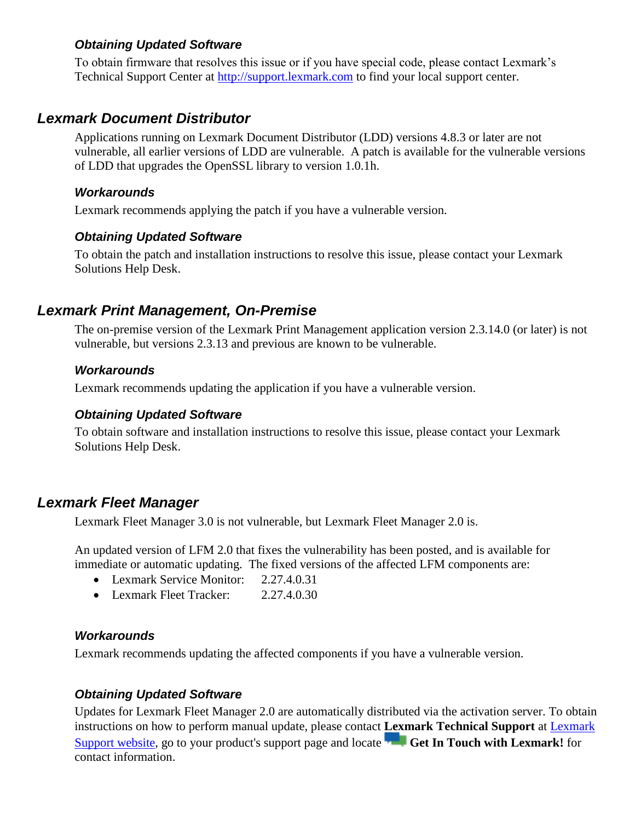### *Obtaining Updated Software*

To obtain firmware that resolves this issue or if you have special code, please contact Lexmark's Technical Support Center at [http://support.lexmark.com](http://support.lexmark.com/) to find your local support center.

### *Lexmark Document Distributor*

Applications running on Lexmark Document Distributor (LDD) versions 4.8.3 or later are not vulnerable, all earlier versions of LDD are vulnerable. A patch is available for the vulnerable versions of LDD that upgrades the OpenSSL library to version 1.0.1h.

#### *Workarounds*

Lexmark recommends applying the patch if you have a vulnerable version.

#### *Obtaining Updated Software*

To obtain the patch and installation instructions to resolve this issue, please contact your Lexmark Solutions Help Desk.

### *Lexmark Print Management, On-Premise*

The on-premise version of the Lexmark Print Management application version 2.3.14.0 (or later) is not vulnerable, but versions 2.3.13 and previous are known to be vulnerable.

#### *Workarounds*

Lexmark recommends updating the application if you have a vulnerable version.

#### *Obtaining Updated Software*

To obtain software and installation instructions to resolve this issue, please contact your Lexmark Solutions Help Desk.

### *Lexmark Fleet Manager*

Lexmark Fleet Manager 3.0 is not vulnerable, but Lexmark Fleet Manager 2.0 is.

An updated version of LFM 2.0 that fixes the vulnerability has been posted, and is available for immediate or automatic updating. The fixed versions of the affected LFM components are:

- Lexmark Service Monitor: 2.27.4.0.31
- Lexmark Fleet Tracker: 2.27.4.0.30

#### *Workarounds*

Lexmark recommends updating the affected components if you have a vulnerable version.

### *Obtaining Updated Software*

Updates for Lexmark Fleet Manager 2.0 are automatically distributed via the activation server. To obtain instructions on how to perform manual update, please contact **Lexmark Technical Support** at [Lexmark](http://support.lexmark.com/)  [Support website,](http://support.lexmark.com/) go to your product's support page and locate **Get In Touch with Lexmark!** for contact information.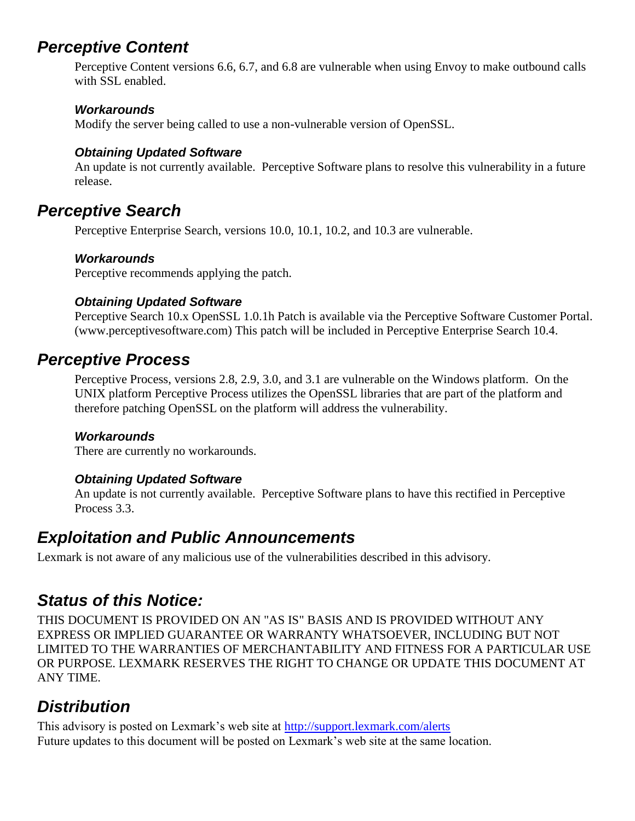## *Perceptive Content*

Perceptive Content versions 6.6, 6.7, and 6.8 are vulnerable when using Envoy to make outbound calls with SSL enabled.

### *Workarounds*

Modify the server being called to use a non-vulnerable version of OpenSSL.

### *Obtaining Updated Software*

An update is not currently available. Perceptive Software plans to resolve this vulnerability in a future release.

## *Perceptive Search*

Perceptive Enterprise Search, versions 10.0, 10.1, 10.2, and 10.3 are vulnerable.

### *Workarounds*

Perceptive recommends applying the patch.

### *Obtaining Updated Software*

Perceptive Search 10.x OpenSSL 1.0.1h Patch is available via the Perceptive Software Customer Portal. (www.perceptivesoftware.com) This patch will be included in Perceptive Enterprise Search 10.4.

## *Perceptive Process*

Perceptive Process, versions 2.8, 2.9, 3.0, and 3.1 are vulnerable on the Windows platform. On the UNIX platform Perceptive Process utilizes the OpenSSL libraries that are part of the platform and therefore patching OpenSSL on the platform will address the vulnerability.

### *Workarounds*

There are currently no workarounds.

### *Obtaining Updated Software*

An update is not currently available. Perceptive Software plans to have this rectified in Perceptive Process 3.3.

## *Exploitation and Public Announcements*

Lexmark is not aware of any malicious use of the vulnerabilities described in this advisory.

## *Status of this Notice:*

THIS DOCUMENT IS PROVIDED ON AN "AS IS" BASIS AND IS PROVIDED WITHOUT ANY EXPRESS OR IMPLIED GUARANTEE OR WARRANTY WHATSOEVER, INCLUDING BUT NOT LIMITED TO THE WARRANTIES OF MERCHANTABILITY AND FITNESS FOR A PARTICULAR USE OR PURPOSE. LEXMARK RESERVES THE RIGHT TO CHANGE OR UPDATE THIS DOCUMENT AT ANY TIME.

## *Distribution*

This advisory is posted on Lexmark's web site at<http://support.lexmark.com/alerts> Future updates to this document will be posted on Lexmark's web site at the same location.